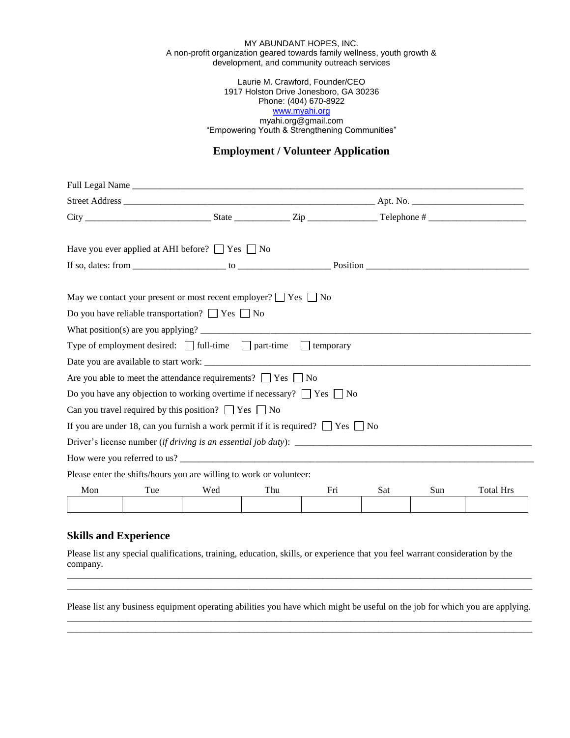#### MY ABUNDANT HOPES, INC. A non-profit organization geared towards family wellness, youth growth & development, and community outreach services

#### Laurie M. Crawford, Founder/CEO 1917 Holston Drive Jonesboro, GA 30236 Phone: (404) 670-8922 [www.myahi.org](http://www.myahi.org/) myahi.org@gmail.com "Empowering Youth & Strengthening Communities"

# **Employment / Volunteer Application**

|     |     | Have you ever applied at AHI before? $\Box$ Yes $\Box$ No                                  |     |     |     |     |                  |
|-----|-----|--------------------------------------------------------------------------------------------|-----|-----|-----|-----|------------------|
|     |     |                                                                                            |     |     |     |     |                  |
|     |     | May we contact your present or most recent employer? $\Box$ Yes $\Box$ No                  |     |     |     |     |                  |
|     |     | Do you have reliable transportation? $\Box$ Yes $\Box$ No                                  |     |     |     |     |                  |
|     |     |                                                                                            |     |     |     |     |                  |
|     |     | Type of employment desired: $\Box$ full-time $\Box$ part-time $\Box$ temporary             |     |     |     |     |                  |
|     |     |                                                                                            |     |     |     |     |                  |
|     |     | Are you able to meet the attendance requirements? $\Box$ Yes $\Box$ No                     |     |     |     |     |                  |
|     |     | Do you have any objection to working overtime if necessary? $\Box$ Yes $\Box$ No           |     |     |     |     |                  |
|     |     | Can you travel required by this position? $\Box$ Yes $\Box$ No                             |     |     |     |     |                  |
|     |     | If you are under 18, can you furnish a work permit if it is required? $\Box$ Yes $\Box$ No |     |     |     |     |                  |
|     |     |                                                                                            |     |     |     |     |                  |
|     |     |                                                                                            |     |     |     |     |                  |
|     |     | Please enter the shifts/hours you are willing to work or volunteer:                        |     |     |     |     |                  |
| Mon | Tue | Wed                                                                                        | Thu | Fri | Sat | Sun | <b>Total Hrs</b> |
|     |     |                                                                                            |     |     |     |     |                  |
|     |     |                                                                                            |     |     |     |     |                  |

## **Skills and Experience**

Please list any special qualifications, training, education, skills, or experience that you feel warrant consideration by the company.

Please list any business equipment operating abilities you have which might be useful on the job for which you are applying. \_\_\_\_\_\_\_\_\_\_\_\_\_\_\_\_\_\_\_\_\_\_\_\_\_\_\_\_\_\_\_\_\_\_\_\_\_\_\_\_\_\_\_\_\_\_\_\_\_\_\_\_\_\_\_\_\_\_\_\_\_\_\_\_\_\_\_\_\_\_\_\_\_\_\_\_\_\_\_\_\_\_\_\_\_\_\_\_\_\_\_\_\_\_\_\_\_\_\_\_

\_\_\_\_\_\_\_\_\_\_\_\_\_\_\_\_\_\_\_\_\_\_\_\_\_\_\_\_\_\_\_\_\_\_\_\_\_\_\_\_\_\_\_\_\_\_\_\_\_\_\_\_\_\_\_\_\_\_\_\_\_\_\_\_\_\_\_\_\_\_\_\_\_\_\_\_\_\_\_\_\_\_\_\_\_\_\_\_\_\_\_\_\_\_\_\_\_\_\_\_

\_\_\_\_\_\_\_\_\_\_\_\_\_\_\_\_\_\_\_\_\_\_\_\_\_\_\_\_\_\_\_\_\_\_\_\_\_\_\_\_\_\_\_\_\_\_\_\_\_\_\_\_\_\_\_\_\_\_\_\_\_\_\_\_\_\_\_\_\_\_\_\_\_\_\_\_\_\_\_\_\_\_\_\_\_\_\_\_\_\_\_\_\_\_\_\_\_\_\_\_ \_\_\_\_\_\_\_\_\_\_\_\_\_\_\_\_\_\_\_\_\_\_\_\_\_\_\_\_\_\_\_\_\_\_\_\_\_\_\_\_\_\_\_\_\_\_\_\_\_\_\_\_\_\_\_\_\_\_\_\_\_\_\_\_\_\_\_\_\_\_\_\_\_\_\_\_\_\_\_\_\_\_\_\_\_\_\_\_\_\_\_\_\_\_\_\_\_\_\_\_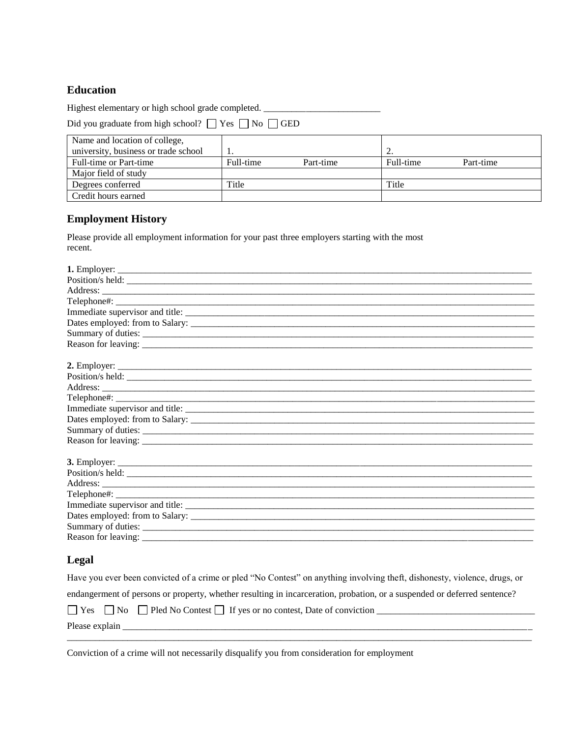# **Education**

Highest elementary or high school grade completed. \_\_\_\_\_\_\_\_\_\_\_\_\_\_\_\_\_\_\_\_\_\_\_\_\_\_\_\_\_\_

Did you graduate from high school?  $\Box$  Yes  $\Box$  No  $\Box$  GED

| Name and location of college,        |           |           |           |           |
|--------------------------------------|-----------|-----------|-----------|-----------|
| university, business or trade school |           |           |           |           |
| Full-time or Part-time               | Full-time | Part-time | Full-time | Part-time |
| Major field of study                 |           |           |           |           |
| Degrees conferred                    | Title     |           | Title     |           |
| Credit hours earned                  |           |           |           |           |

## **Employment History**

Please provide all employment information for your past three employers starting with the most recent.

| Dates employed: from to Salary: |
|---------------------------------|
|                                 |
|                                 |
|                                 |
|                                 |
|                                 |
|                                 |
|                                 |
|                                 |
|                                 |
|                                 |
|                                 |
|                                 |
|                                 |
|                                 |
|                                 |
|                                 |
|                                 |
|                                 |
|                                 |
|                                 |
|                                 |

# **Legal**

Have you ever been convicted of a crime or pled "No Contest" on anything involving theft, dishonesty, violence, drugs, or

\_\_\_\_\_\_\_\_\_\_\_\_\_\_\_\_\_\_\_\_\_\_\_\_\_\_\_\_\_\_\_\_\_\_\_\_\_\_\_\_\_\_\_\_\_\_\_\_\_\_\_\_\_\_\_\_\_\_\_\_\_\_\_\_\_\_\_\_\_\_\_\_\_\_\_\_\_\_\_\_\_\_\_\_\_\_\_\_\_\_\_\_\_\_\_\_\_\_\_\_

endangerment of persons or property, whether resulting in incarceration, probation, or a suspended or deferred sentence?

| $\alpha$ | N <sub>0</sub> | Pled No Contest | If yes or no contest, Date of conviction |  |
|----------|----------------|-----------------|------------------------------------------|--|
| Please   |                |                 |                                          |  |

Conviction of a crime will not necessarily disqualify you from consideration for employment